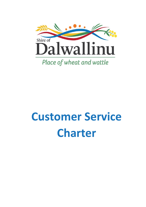

# **Customer Service Charter**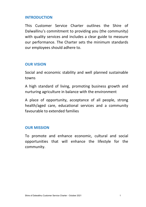#### **INTRODUCTION**

This Customer Service Charter outlines the Shire of Dalwallinu's commitment to providing you (the community) with quality services and includes a clear guide to measure our performance. The Charter sets the minimum standards our employees should adhere to.

#### **OUR VISION**

Social and economic stability and well planned sustainable towns

A high standard of living, promoting business growth and nurturing agriculture in balance with the environment

A place of opportunity, acceptance of all people, strong health/aged care, educational services and a community favourable to extended families

#### **OUR MISSION**

To promote and enhance economic, cultural and social opportunities that will enhance the lifestyle for the community.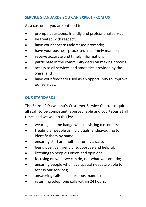# **SERVICE STANDARDS YOU CAN EXPECT FROM US**

As a customer you are entitled to:

- prompt, courteous, friendly and professional service;
- be treated with respect;
- have your concerns addressed promptly;
- have your business processed in a timely manner:
- receive accurate and timely information;
- participate in the community decision making process;
- access to all services and amenities provided by the Shire; and
- have your feedback used as an opportunity to improve our services.

# **OUR STANDARDS**

The Shire of Dalwallinu's Customer Service Charter requires all staff to be competent, approachable and courteous at all times and we will do this by:

- wearing a name badge when assisting customers;
- treating all people as individuals, endeavouring to identify them by name;
- ensuring staff are multi-culturally aware;
- being positive, friendly, supportive and helpful;
- listening to people's views and opinions;
- focusing on what we can do, not what we can't do;
- ensuring people who have special needs are able to access our services;
- answering calls in a courteous manner;
- returning telephone calls within 24 hours;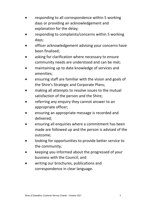- responding to all correspondence within 5 working days or providing an acknowledgement and explanation for the delay;
- responding to complaints/concerns within 5 working days;
- officer acknowledgement advising your concerns have been finalised;
- asking for clarification where necessary to ensure community needs are understood and can be met;
- maintaining up to date knowledge of services and amenities;
- ensuring staff are familiar with the vision and goals of the Shire's Strategic and Corporate Plans;
- making all attempts to resolve issues to the mutual satisfaction of the person and the Shire;
- referring any enquiry they cannot answer to an appropriate officer;
- ensuring an appropriate message is recorded and delivered;
- ensuring all enquiries where a commitment has been made are followed up and the person is advised of the outcome;
- looking for opportunities to provide better service to the community;
- keeping you informed about the progressed of your business with the Council; and
- writing our brochures, publications and correspondence in clear language.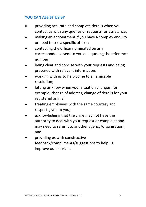# **YOU CAN ASSIST US BY**

- providing accurate and complete details when you contact us with any queries or requests for assistance;
- making an appointment if you have a complex enquiry or need to see a specific officer;
- contacting the officer nominated on any correspondence sent to you and quoting the reference number;
- being clear and concise with your requests and being prepared with relevant information;
- working with us to help come to an amicable resolution;
- letting us know when your situation changes, for example; change of address, change of details for your registered animal
- treating employees with the same courtesy and respect given to you;
- acknowledging that the Shire may not have the authority to deal with your request or complaint and may need to refer it to another agency/organisation; and
- providing us with constructive feedback/compliments/suggestions to help us improve our services.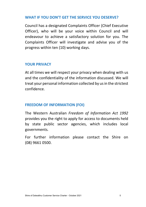#### **WHAT IF YOU DON'T GET THE SERVICE YOU DESERVE?**

Council has a designated Complaints Officer (Chief Executive Officer), who will be your voice within Council and will endeavour to achieve a satisfactory solution for you. The Complaints Officer will investigate and advise you of the progress within ten (10) working days.

# **YOUR PRIVACY**

At all times we will respect your privacy when dealing with us and the confidentiality of the information discussed. We will treat your personal information collected by us in the strictest confidence.

# **FREEDOM OF INFORMATION (FOI)**

The Western Australian *Freedom of Information Act 1992*  provides you the right to apply for access to documents held by state public sector agencies, which includes local governments*.* 

For further information please contact the Shire on (08) 9661 0500.